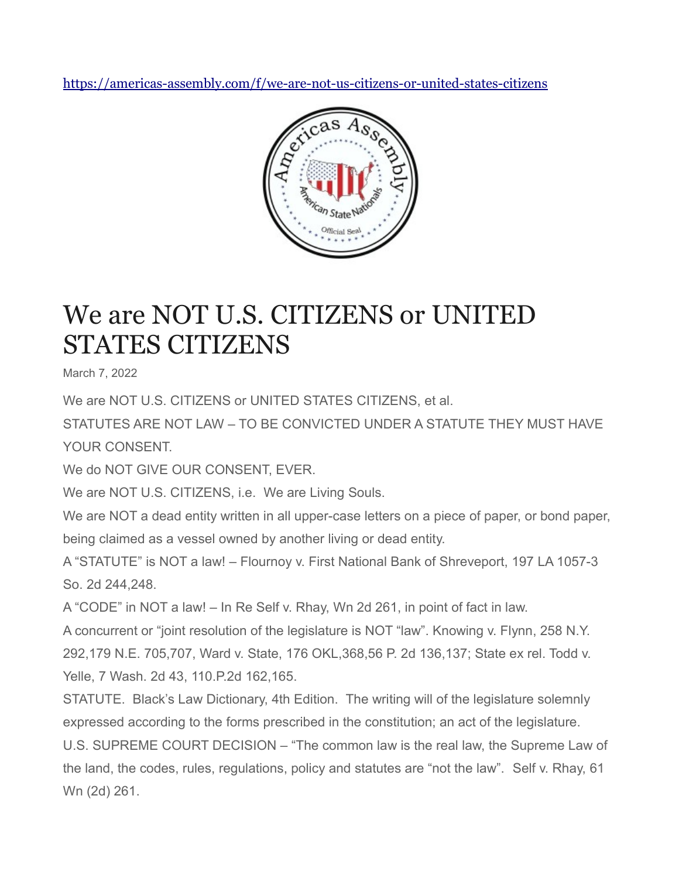<https://americas-assembly.com/f/we-are-not-us-citizens-or-united-states-citizens>



## We are NOT U.S. CITIZENS or UNITED STATES CITIZENS

March 7, 2022

We are NOT U.S. CITIZENS or UNITED STATES CITIZENS, et al.

STATUTES ARE NOT LAW – TO BE CONVICTED UNDER A STATUTE THEY MUST HAVE YOUR CONSENT.

We do NOT GIVE OUR CONSENT, EVER.

We are NOT U.S. CITIZENS, i.e. We are Living Souls.

We are NOT a dead entity written in all upper-case letters on a piece of paper, or bond paper, being claimed as a vessel owned by another living or dead entity.

A "STATUTE" is NOT a law! – Flournoy v. First National Bank of Shreveport, 197 LA 1057-3 So. 2d 244,248.

A "CODE" in NOT a law! – In Re Self v. Rhay, Wn 2d 261, in point of fact in law.

A concurrent or "joint resolution of the legislature is NOT "law". Knowing v. Flynn, 258 N.Y. 292,179 N.E. 705,707, Ward v. State, 176 OKL,368,56 P. 2d 136,137; State ex rel. Todd v. Yelle, 7 Wash. 2d 43, 110.P.2d 162,165.

STATUTE. Black's Law Dictionary, 4th Edition. The writing will of the legislature solemnly expressed according to the forms prescribed in the constitution; an act of the legislature.

U.S. SUPREME COURT DECISION – "The common law is the real law, the Supreme Law of the land, the codes, rules, regulations, policy and statutes are "not the law". Self v. Rhay, 61 Wn (2d) 261.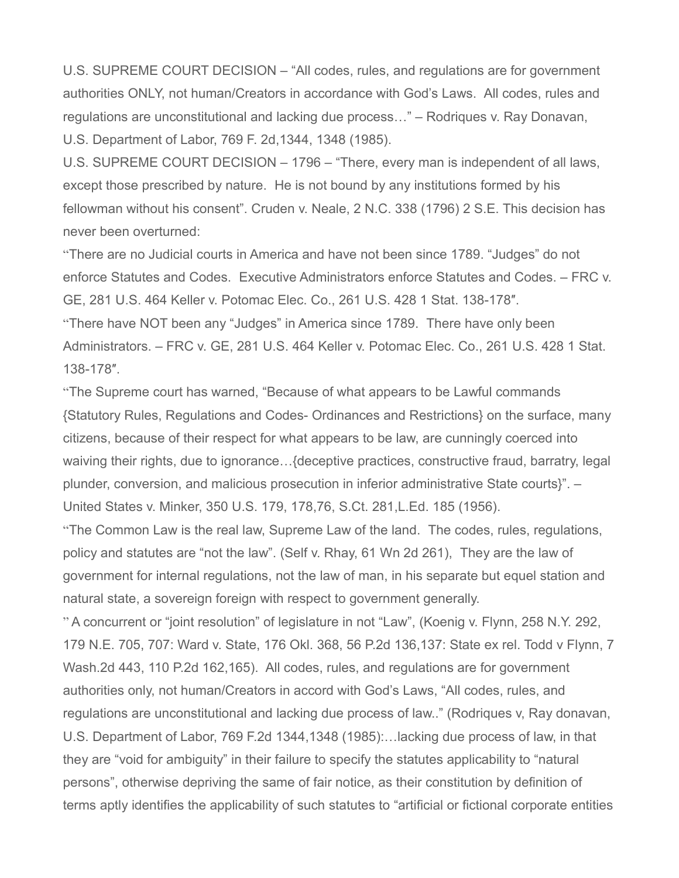U.S. SUPREME COURT DECISION – "All codes, rules, and regulations are for government authorities ONLY, not human/Creators in accordance with God's Laws. All codes, rules and regulations are unconstitutional and lacking due process…" – Rodriques v. Ray Donavan, U.S. Department of Labor, 769 F. 2d,1344, 1348 (1985).

U.S. SUPREME COURT DECISION – 1796 – "There, every man is independent of all laws, except those prescribed by nature. He is not bound by any institutions formed by his fellowman without his consent". Cruden v. Neale, 2 N.C. 338 (1796) 2 S.E. This decision has never been overturned:

"There are no Judicial courts in America and have not been since 1789. "Judges" do not enforce Statutes and Codes. Executive Administrators enforce Statutes and Codes. – FRC v. GE, 281 U.S. 464 Keller v. Potomac Elec. Co., 261 U.S. 428 1 Stat. 138-178″. "There have NOT been any "Judges" in America since 1789. There have only been Administrators. – FRC v. GE, 281 U.S. 464 Keller v. Potomac Elec. Co., 261 U.S. 428 1 Stat.

138-178″.

"The Supreme court has warned, "Because of what appears to be Lawful commands {Statutory Rules, Regulations and Codes- Ordinances and Restrictions} on the surface, many citizens, because of their respect for what appears to be law, are cunningly coerced into waiving their rights, due to ignorance…{deceptive practices, constructive fraud, barratry, legal plunder, conversion, and malicious prosecution in inferior administrative State courts}". – United States v. Minker, 350 U.S. 179, 178,76, S.Ct. 281,L.Ed. 185 (1956).

"The Common Law is the real law, Supreme Law of the land. The codes, rules, regulations, policy and statutes are "not the law". (Self v. Rhay, 61 Wn 2d 261), They are the law of government for internal regulations, not the law of man, in his separate but equel station and natural state, a sovereign foreign with respect to government generally.

" A concurrent or "joint resolution" of legislature in not "Law", (Koenig v. Flynn, 258 N.Y. 292, 179 N.E. 705, 707: Ward v. State, 176 Okl. 368, 56 P.2d 136,137: State ex rel. Todd v Flynn, 7 Wash.2d 443, 110 P.2d 162,165). All codes, rules, and regulations are for government authorities only, not human/Creators in accord with God's Laws, "All codes, rules, and regulations are unconstitutional and lacking due process of law.." (Rodriques v, Ray donavan, U.S. Department of Labor, 769 F.2d 1344,1348 (1985):…lacking due process of law, in that they are "void for ambiguity" in their failure to specify the statutes applicability to "natural persons", otherwise depriving the same of fair notice, as their constitution by definition of terms aptly identifies the applicability of such statutes to "artificial or fictional corporate entities